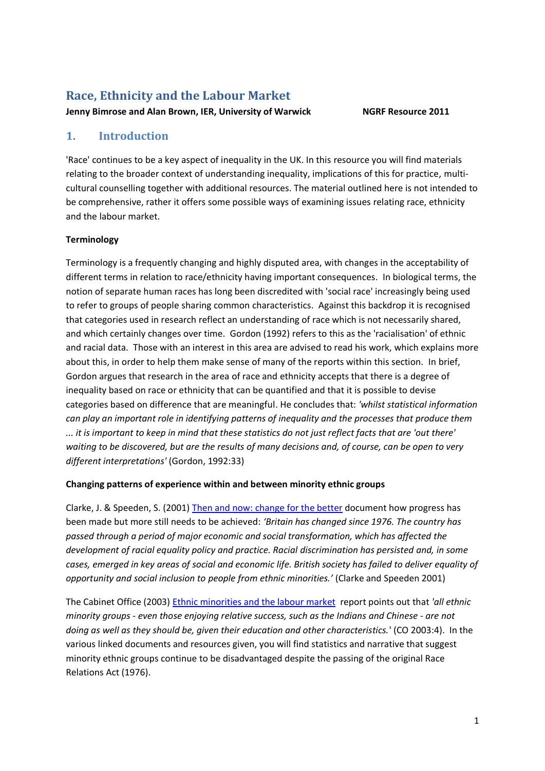# **Race, Ethnicity and the Labour Market**

**Jenny Bimrose and Alan Brown, IER, University of Warwick NGRF Resource 2011**

# **1. Introduction**

'Race' continues to be a key aspect of inequality in the UK. In this resource you will find materials relating to the broader context of understanding inequality, implications of this for practice, multicultural counselling together with additional resources. The material outlined here is not intended to be comprehensive, rather it offers some possible ways of examining issues relating race, ethnicity and the labour market.

# **Terminology**

Terminology is a frequently changing and highly disputed area, with changes in the acceptability of different terms in relation to race/ethnicity having important consequences. In biological terms, the notion of separate human races has long been discredited with 'social race' increasingly being used to refer to groups of people sharing common characteristics. Against this backdrop it is recognised that categories used in research reflect an understanding of race which is not necessarily shared, and which certainly changes over time. Gordon (1992) refers to this as the 'racialisation' of ethnic and racial data. Those with an interest in this area are advised to read his work, which explains more about this, in order to help them make sense of many of the reports within this section. In brief, Gordon argues that research in the area of race and ethnicity accepts that there is a degree of inequality based on race or ethnicity that can be quantified and that it is possible to devise categories based on difference that are meaningful. He concludes that: *'whilst statistical information can play an important role in identifying patterns of inequality and the processes that produce them ... it is important to keep in mind that these statistics do not just reflect facts that are 'out there' waiting to be discovered, but are the results of many decisions and, of course, can be open to very different interpretations'* (Gordon, 1992:33)

# **Changing patterns of experience within and between minority ethnic groups**

Clarke, J. & Speeden, S. (2001) Then and now: [change for the better](http://www.eric.ed.gov/PDFS/ED456208.pdf) document how progress has been made but more still needs to be achieved: *'Britain has changed since 1976. The country has passed through a period of major economic and social transformation, which has affected the development of racial equality policy and practice. Racial discrimination has persisted and, in some cases, emerged in key areas of social and economic life. British society has failed to deliver equality of opportunity and social inclusion to people from ethnic minorities.'* (Clarke and Speeden 2001)

The Cabinet Office (2003) [Ethnic minorities and the labour market](http://www.equalbutdifferent.org.uk/pdfs/ethnic%20minorities%20&%20the%20labour%20market.pdf) report points out that *'all ethnic minority groups - even those enjoying relative success, such as the Indians and Chinese - are not doing as well as they should be, given their education and other characteristics.*' (CO 2003:4). In the various linked documents and resources given, you will find statistics and narrative that suggest minority ethnic groups continue to be disadvantaged despite the passing of the original Race Relations Act (1976).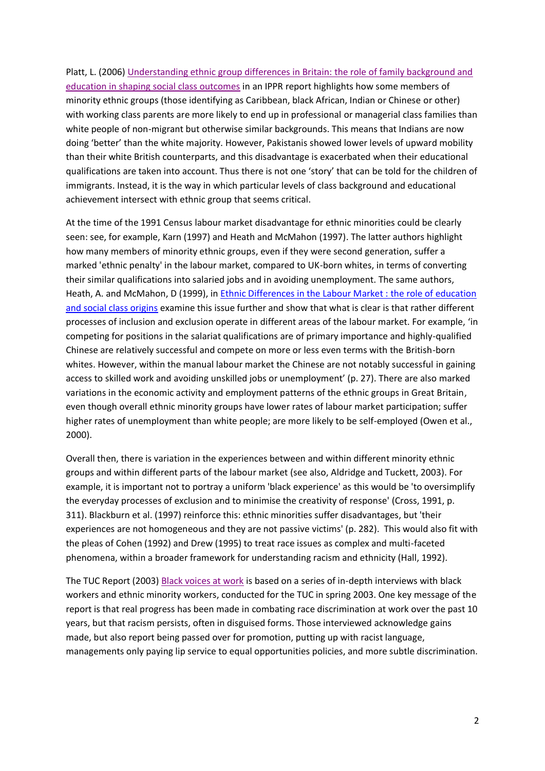Platt, L. (2006) [Understanding ethnic group differences in Britain: the role of family background and](http://www.ippr.org/ecomm/files/platt_paper.pdf)  [education in shaping social class outcomes](http://www.ippr.org/ecomm/files/platt_paper.pdf) in an IPPR report highlights how some members of minority ethnic groups (those identifying as Caribbean, black African, Indian or Chinese or other) with working class parents are more likely to end up in professional or managerial class families than white people of non-migrant but otherwise similar backgrounds. This means that Indians are now doing 'better' than the white majority. However, Pakistanis showed lower levels of upward mobility than their white British counterparts, and this disadvantage is exacerbated when their educational qualifications are taken into account. Thus there is not one 'story' that can be told for the children of immigrants. Instead, it is the way in which particular levels of class background and educational achievement intersect with ethnic group that seems critical.

At the time of the 1991 Census labour market disadvantage for ethnic minorities could be clearly seen: see, for example, Karn (1997) and Heath and McMahon (1997). The latter authors highlight how many members of minority ethnic groups, even if they were second generation, suffer a marked 'ethnic penalty' in the labour market, compared to UK-born whites, in terms of converting their similar qualifications into salaried jobs and in avoiding unemployment. The same authors, Heath, A. and McMahon, D (1999), in Ethnic Differences in the Labour Market : the role of education [and social class origins](http://www.crest.ox.ac.uk/papers/p69.pdf) examine this issue further and show that what is clear is that rather different processes of inclusion and exclusion operate in different areas of the labour market. For example, 'in competing for positions in the salariat qualifications are of primary importance and highly-qualified Chinese are relatively successful and compete on more or less even terms with the British-born whites. However, within the manual labour market the Chinese are not notably successful in gaining access to skilled work and avoiding unskilled jobs or unemployment' (p. 27). There are also marked variations in the economic activity and employment patterns of the ethnic groups in Great Britain, even though overall ethnic minority groups have lower rates of labour market participation; suffer higher rates of unemployment than white people; are more likely to be self-employed (Owen et al., 2000).

Overall then, there is variation in the experiences between and within different minority ethnic groups and within different parts of the labour market (see also, Aldridge and Tuckett, 2003). For example, it is important not to portray a uniform 'black experience' as this would be 'to oversimplify the everyday processes of exclusion and to minimise the creativity of response' (Cross, 1991, p. 311). Blackburn et al. (1997) reinforce this: ethnic minorities suffer disadvantages, but 'their experiences are not homogeneous and they are not passive victims' (p. 282). This would also fit with the pleas of Cohen (1992) and Drew (1995) to treat race issues as complex and multi-faceted phenomena, within a broader framework for understanding racism and ethnicity (Hall, 1992).

The TUC Report (2003) [Black voices at work](https://www.tuc.org.uk/publications/viewPub.cfm?frmPubID=319) is based on a series of in-depth interviews with black workers and ethnic minority workers, conducted for the TUC in spring 2003. One key message of the report is that real progress has been made in combating race discrimination at work over the past 10 years, but that racism persists, often in disguised forms. Those interviewed acknowledge gains made, but also report being passed over for promotion, putting up with racist language, managements only paying lip service to equal opportunities policies, and more subtle discrimination.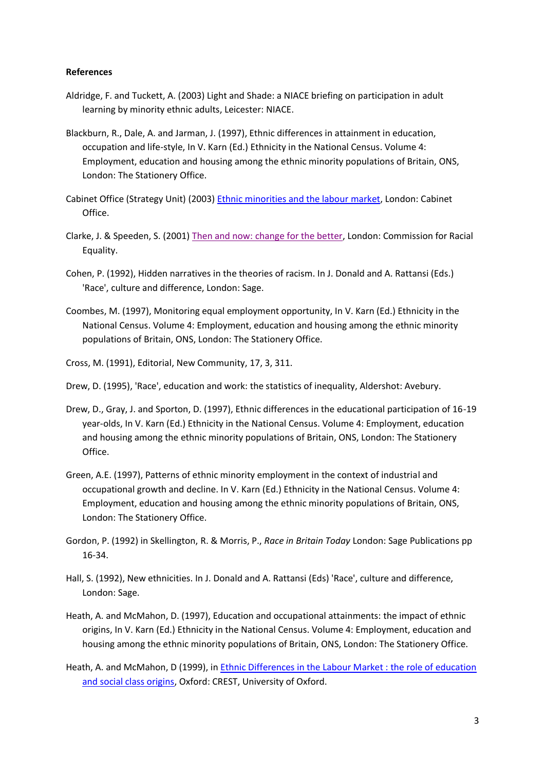#### **References**

- Aldridge, F. and Tuckett, A. (2003) Light and Shade: a NIACE briefing on participation in adult learning by minority ethnic adults, Leicester: NIACE.
- Blackburn, R., Dale, A. and Jarman, J. (1997), Ethnic differences in attainment in education, occupation and life-style, In V. Karn (Ed.) Ethnicity in the National Census. Volume 4: Employment, education and housing among the ethnic minority populations of Britain, ONS, London: The Stationery Office.
- Cabinet Office (Strategy Unit) (2003) [Ethnic minorities and the labour market,](http://www.equalbutdifferent.org.uk/pdfs/ethnic%20minorities%20&%20the%20labour%20market.pdf) London: Cabinet Office.
- Clarke, J. & Speeden, S. (2001) [Then and now: change for the better,](http://www.eric.ed.gov/PDFS/ED456208.pdf) London: Commission for Racial Equality.
- Cohen, P. (1992), Hidden narratives in the theories of racism. In J. Donald and A. Rattansi (Eds.) 'Race', culture and difference, London: Sage.
- Coombes, M. (1997), Monitoring equal employment opportunity, In V. Karn (Ed.) Ethnicity in the National Census. Volume 4: Employment, education and housing among the ethnic minority populations of Britain, ONS, London: The Stationery Office.
- Cross, M. (1991), Editorial, New Community, 17, 3, 311.
- Drew, D. (1995), 'Race', education and work: the statistics of inequality, Aldershot: Avebury.
- Drew, D., Gray, J. and Sporton, D. (1997), Ethnic differences in the educational participation of 16-19 year-olds, In V. Karn (Ed.) Ethnicity in the National Census. Volume 4: Employment, education and housing among the ethnic minority populations of Britain, ONS, London: The Stationery Office.
- Green, A.E. (1997), Patterns of ethnic minority employment in the context of industrial and occupational growth and decline. In V. Karn (Ed.) Ethnicity in the National Census. Volume 4: Employment, education and housing among the ethnic minority populations of Britain, ONS, London: The Stationery Office.
- Gordon, P. (1992) in Skellington, R. & Morris, P., *Race in Britain Today* London: Sage Publications pp 16-34.
- Hall, S. (1992), New ethnicities. In J. Donald and A. Rattansi (Eds) 'Race', culture and difference, London: Sage.
- Heath, A. and McMahon, D. (1997), Education and occupational attainments: the impact of ethnic origins, In V. Karn (Ed.) Ethnicity in the National Census. Volume 4: Employment, education and housing among the ethnic minority populations of Britain, ONS, London: The Stationery Office.
- Heath, A. and McMahon, D (1999), in [Ethnic Differences in the Labour Market : the role of education](http://www.crest.ox.ac.uk/papers/p69.pdf)  [and social class origins,](http://www.crest.ox.ac.uk/papers/p69.pdf) Oxford: CREST, University of Oxford.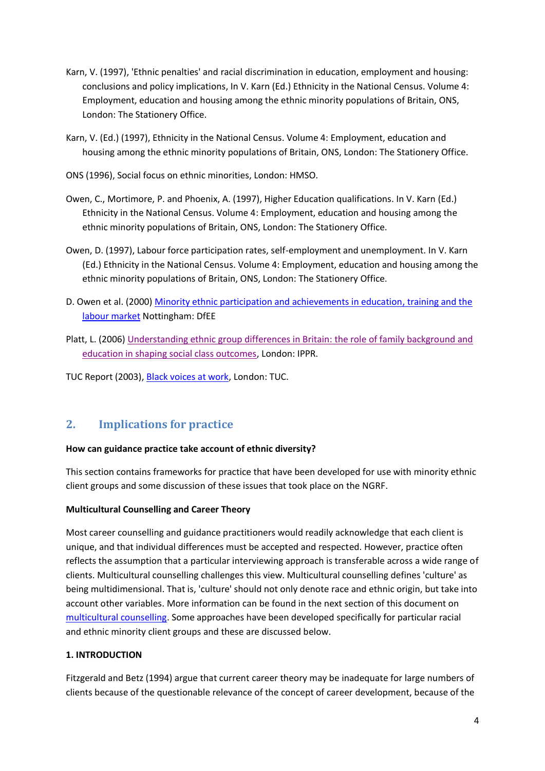- Karn, V. (1997), 'Ethnic penalties' and racial discrimination in education, employment and housing: conclusions and policy implications, In V. Karn (Ed.) Ethnicity in the National Census. Volume 4: Employment, education and housing among the ethnic minority populations of Britain, ONS, London: The Stationery Office.
- Karn, V. (Ed.) (1997), Ethnicity in the National Census. Volume 4: Employment, education and housing among the ethnic minority populations of Britain, ONS, London: The Stationery Office.
- ONS (1996), Social focus on ethnic minorities, London: HMSO.
- Owen, C., Mortimore, P. and Phoenix, A. (1997), Higher Education qualifications. In V. Karn (Ed.) Ethnicity in the National Census. Volume 4: Employment, education and housing among the ethnic minority populations of Britain, ONS, London: The Stationery Office.
- Owen, D. (1997), Labour force participation rates, self-employment and unemployment. In V. Karn (Ed.) Ethnicity in the National Census. Volume 4: Employment, education and housing among the ethnic minority populations of Britain, ONS, London: The Stationery Office.
- D. Owen et al. (2000) [Minority ethnic participation and achievements in education,](https://www.education.gov.uk/publications/eOrderingDownload/RR225.pdf) training and the [labour market](https://www.education.gov.uk/publications/eOrderingDownload/RR225.pdf) Nottingham: DfEE
- Platt, L. (2006) [Understanding ethnic group differences in Britain: the role of family background and](http://www.ippr.org/ecomm/files/platt_paper.pdf)  [education in shaping social class outcomes,](http://www.ippr.org/ecomm/files/platt_paper.pdf) London: IPPR.

TUC Report (2003), [Black voices at work,](https://www.tuc.org.uk/publications/viewPub.cfm?frmPubID=319) London: TUC.

# **2. Implications for practice**

# **How can guidance practice take account of ethnic diversity?**

This section contains frameworks for practice that have been developed for use with minority ethnic client groups and some discussion of these issues that took place on the NGRF.

# **Multicultural Counselling and Career Theory**

Most career counselling and guidance practitioners would readily acknowledge that each client is unique, and that individual differences must be accepted and respected. However, practice often reflects the assumption that a particular interviewing approach is transferable across a wide range of clients. Multicultural counselling challenges this view. Multicultural counselling defines 'culture' as being multidimensional. That is, 'culture' should not only denote race and ethnic origin, but take into account other variables. More information can be found in the next section of this document on [multicultural counselling.](#page-10-0) Some approaches have been developed specifically for particular racial and ethnic minority client groups and these are discussed below.

# **1. INTRODUCTION**

Fitzgerald and Betz (1994) argue that current career theory may be inadequate for large numbers of clients because of the questionable relevance of the concept of career development, because of the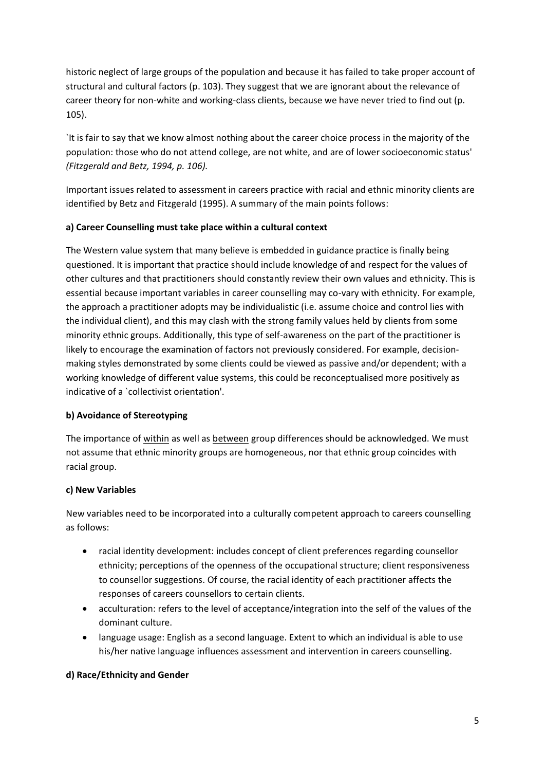historic neglect of large groups of the population and because it has failed to take proper account of structural and cultural factors (p. 103). They suggest that we are ignorant about the relevance of career theory for non-white and working-class clients, because we have never tried to find out (p. 105).

`It is fair to say that we know almost nothing about the career choice process in the majority of the population: those who do not attend college, are not white, and are of lower socioeconomic status' *(Fitzgerald and Betz, 1994, p. 106).*

Important issues related to assessment in careers practice with racial and ethnic minority clients are identified by Betz and Fitzgerald (1995). A summary of the main points follows:

# **a) Career Counselling must take place within a cultural context**

The Western value system that many believe is embedded in guidance practice is finally being questioned. It is important that practice should include knowledge of and respect for the values of other cultures and that practitioners should constantly review their own values and ethnicity. This is essential because important variables in career counselling may co-vary with ethnicity. For example, the approach a practitioner adopts may be individualistic (i.e. assume choice and control lies with the individual client), and this may clash with the strong family values held by clients from some minority ethnic groups. Additionally, this type of self-awareness on the part of the practitioner is likely to encourage the examination of factors not previously considered. For example, decisionmaking styles demonstrated by some clients could be viewed as passive and/or dependent; with a working knowledge of different value systems, this could be reconceptualised more positively as indicative of a `collectivist orientation'.

# **b) Avoidance of Stereotyping**

The importance of within as well as between group differences should be acknowledged. We must not assume that ethnic minority groups are homogeneous, nor that ethnic group coincides with racial group.

# **c) New Variables**

New variables need to be incorporated into a culturally competent approach to careers counselling as follows:

- racial identity development: includes concept of client preferences regarding counsellor ethnicity; perceptions of the openness of the occupational structure; client responsiveness to counsellor suggestions. Of course, the racial identity of each practitioner affects the responses of careers counsellors to certain clients.
- acculturation: refers to the level of acceptance/integration into the self of the values of the dominant culture.
- language usage: English as a second language. Extent to which an individual is able to use his/her native language influences assessment and intervention in careers counselling.

# **d) Race/Ethnicity and Gender**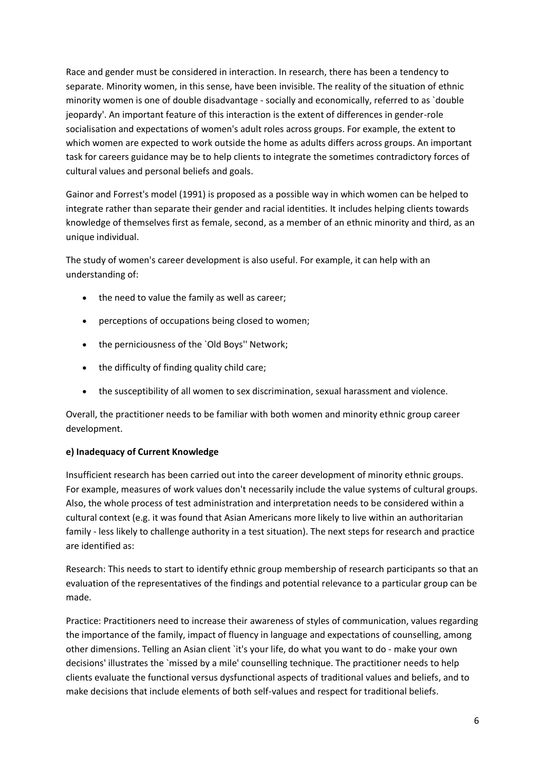Race and gender must be considered in interaction. In research, there has been a tendency to separate. Minority women, in this sense, have been invisible. The reality of the situation of ethnic minority women is one of double disadvantage - socially and economically, referred to as `double jeopardy'. An important feature of this interaction is the extent of differences in gender-role socialisation and expectations of women's adult roles across groups. For example, the extent to which women are expected to work outside the home as adults differs across groups. An important task for careers guidance may be to help clients to integrate the sometimes contradictory forces of cultural values and personal beliefs and goals.

Gainor and Forrest's model (1991) is proposed as a possible way in which women can be helped to integrate rather than separate their gender and racial identities. It includes helping clients towards knowledge of themselves first as female, second, as a member of an ethnic minority and third, as an unique individual.

The study of women's career development is also useful. For example, it can help with an understanding of:

- the need to value the family as well as career:
- perceptions of occupations being closed to women;
- the perniciousness of the `Old Boys'' Network;
- the difficulty of finding quality child care;
- the susceptibility of all women to sex discrimination, sexual harassment and violence.

Overall, the practitioner needs to be familiar with both women and minority ethnic group career development.

# **e) Inadequacy of Current Knowledge**

Insufficient research has been carried out into the career development of minority ethnic groups. For example, measures of work values don't necessarily include the value systems of cultural groups. Also, the whole process of test administration and interpretation needs to be considered within a cultural context (e.g. it was found that Asian Americans more likely to live within an authoritarian family - less likely to challenge authority in a test situation). The next steps for research and practice are identified as:

Research: This needs to start to identify ethnic group membership of research participants so that an evaluation of the representatives of the findings and potential relevance to a particular group can be made.

Practice: Practitioners need to increase their awareness of styles of communication, values regarding the importance of the family, impact of fluency in language and expectations of counselling, among other dimensions. Telling an Asian client `it's your life, do what you want to do - make your own decisions' illustrates the `missed by a mile' counselling technique. The practitioner needs to help clients evaluate the functional versus dysfunctional aspects of traditional values and beliefs, and to make decisions that include elements of both self-values and respect for traditional beliefs.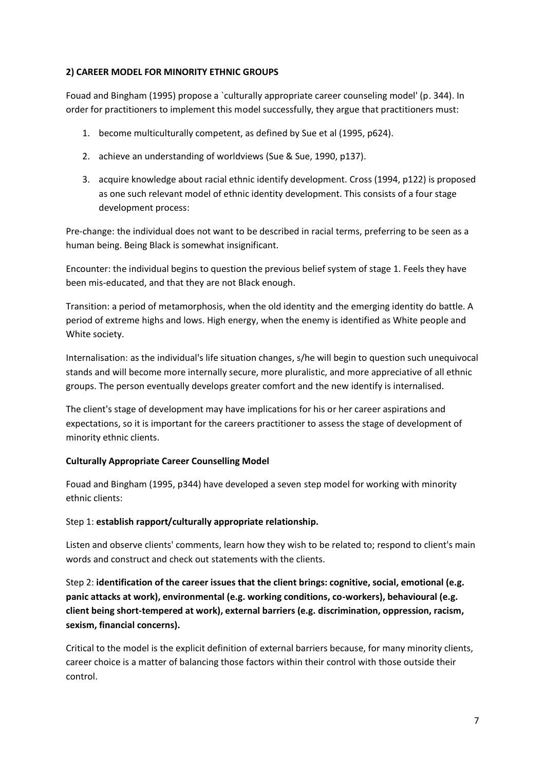# **2) CAREER MODEL FOR MINORITY ETHNIC GROUPS**

Fouad and Bingham (1995) propose a `culturally appropriate career counseling model' (p. 344). In order for practitioners to implement this model successfully, they argue that practitioners must:

- 1. become multiculturally competent, as defined by Sue et al (1995, p624).
- 2. achieve an understanding of worldviews (Sue & Sue, 1990, p137).
- 3. acquire knowledge about racial ethnic identify development. Cross (1994, p122) is proposed as one such relevant model of ethnic identity development. This consists of a four stage development process:

Pre-change: the individual does not want to be described in racial terms, preferring to be seen as a human being. Being Black is somewhat insignificant.

Encounter: the individual begins to question the previous belief system of stage 1. Feels they have been mis-educated, and that they are not Black enough.

Transition: a period of metamorphosis, when the old identity and the emerging identity do battle. A period of extreme highs and lows. High energy, when the enemy is identified as White people and White society.

Internalisation: as the individual's life situation changes, s/he will begin to question such unequivocal stands and will become more internally secure, more pluralistic, and more appreciative of all ethnic groups. The person eventually develops greater comfort and the new identify is internalised.

The client's stage of development may have implications for his or her career aspirations and expectations, so it is important for the careers practitioner to assess the stage of development of minority ethnic clients.

# **Culturally Appropriate Career Counselling Model**

Fouad and Bingham (1995, p344) have developed a seven step model for working with minority ethnic clients:

#### Step 1: **establish rapport/culturally appropriate relationship.**

Listen and observe clients' comments, learn how they wish to be related to; respond to client's main words and construct and check out statements with the clients.

Step 2: **identification of the career issues that the client brings: cognitive, social, emotional (e.g. panic attacks at work), environmental (e.g. working conditions, co-workers), behavioural (e.g. client being short-tempered at work), external barriers (e.g. discrimination, oppression, racism, sexism, financial concerns).**

Critical to the model is the explicit definition of external barriers because, for many minority clients, career choice is a matter of balancing those factors within their control with those outside their control.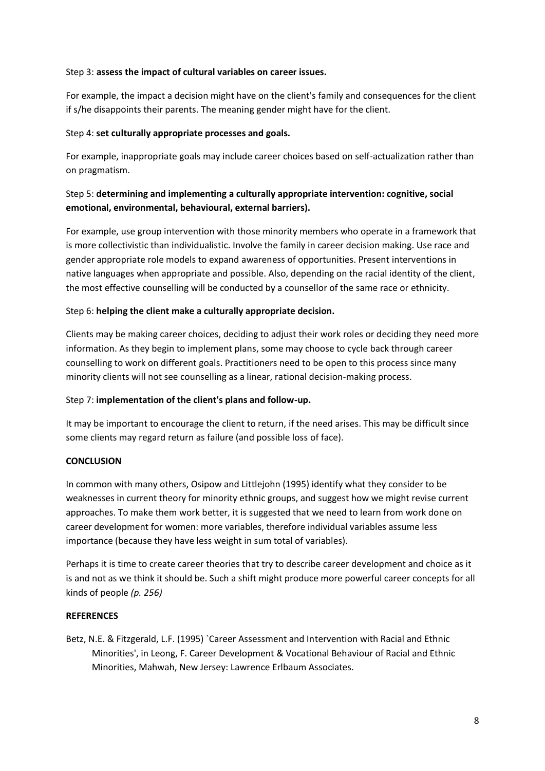### Step 3: **assess the impact of cultural variables on career issues.**

For example, the impact a decision might have on the client's family and consequences for the client if s/he disappoints their parents. The meaning gender might have for the client.

### Step 4: **set culturally appropriate processes and goals.**

For example, inappropriate goals may include career choices based on self-actualization rather than on pragmatism.

# Step 5: **determining and implementing a culturally appropriate intervention: cognitive, social emotional, environmental, behavioural, external barriers).**

For example, use group intervention with those minority members who operate in a framework that is more collectivistic than individualistic. Involve the family in career decision making. Use race and gender appropriate role models to expand awareness of opportunities. Present interventions in native languages when appropriate and possible. Also, depending on the racial identity of the client, the most effective counselling will be conducted by a counsellor of the same race or ethnicity.

### Step 6: **helping the client make a culturally appropriate decision.**

Clients may be making career choices, deciding to adjust their work roles or deciding they need more information. As they begin to implement plans, some may choose to cycle back through career counselling to work on different goals. Practitioners need to be open to this process since many minority clients will not see counselling as a linear, rational decision-making process.

# Step 7: **implementation of the client's plans and follow-up.**

It may be important to encourage the client to return, if the need arises. This may be difficult since some clients may regard return as failure (and possible loss of face).

# **CONCLUSION**

In common with many others, Osipow and Littlejohn (1995) identify what they consider to be weaknesses in current theory for minority ethnic groups, and suggest how we might revise current approaches. To make them work better, it is suggested that we need to learn from work done on career development for women: more variables, therefore individual variables assume less importance (because they have less weight in sum total of variables).

Perhaps it is time to create career theories that try to describe career development and choice as it is and not as we think it should be. Such a shift might produce more powerful career concepts for all kinds of people *(p. 256)*

#### **REFERENCES**

Betz, N.E. & Fitzgerald, L.F. (1995) `Career Assessment and Intervention with Racial and Ethnic Minorities', in Leong, F. Career Development & Vocational Behaviour of Racial and Ethnic Minorities, Mahwah, New Jersey: Lawrence Erlbaum Associates.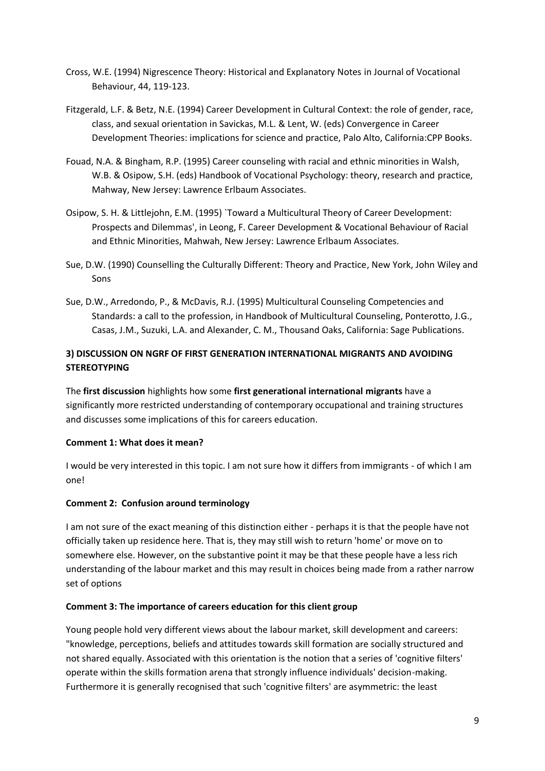- Cross, W.E. (1994) Nigrescence Theory: Historical and Explanatory Notes in Journal of Vocational Behaviour, 44, 119-123.
- Fitzgerald, L.F. & Betz, N.E. (1994) Career Development in Cultural Context: the role of gender, race, class, and sexual orientation in Savickas, M.L. & Lent, W. (eds) Convergence in Career Development Theories: implications for science and practice, Palo Alto, California:CPP Books.
- Fouad, N.A. & Bingham, R.P. (1995) Career counseling with racial and ethnic minorities in Walsh, W.B. & Osipow, S.H. (eds) Handbook of Vocational Psychology: theory, research and practice, Mahway, New Jersey: Lawrence Erlbaum Associates.
- Osipow, S. H. & Littlejohn, E.M. (1995) `Toward a Multicultural Theory of Career Development: Prospects and Dilemmas', in Leong, F. Career Development & Vocational Behaviour of Racial and Ethnic Minorities, Mahwah, New Jersey: Lawrence Erlbaum Associates.
- Sue, D.W. (1990) Counselling the Culturally Different: Theory and Practice, New York, John Wiley and Sons
- Sue, D.W., Arredondo, P., & McDavis, R.J. (1995) Multicultural Counseling Competencies and Standards: a call to the profession, in Handbook of Multicultural Counseling, Ponterotto, J.G., Casas, J.M., Suzuki, L.A. and Alexander, C. M., Thousand Oaks, California: Sage Publications.

# **3) DISCUSSION ON NGRF OF FIRST GENERATION INTERNATIONAL MIGRANTS AND AVOIDING STEREOTYPING**

The **first discussion** highlights how some **first generational international migrants** have a significantly more restricted understanding of contemporary occupational and training structures and discusses some implications of this for careers education.

# **Comment 1: What does it mean?**

I would be very interested in this topic. I am not sure how it differs from immigrants - of which I am one!

# **Comment 2: Confusion around terminology**

I am not sure of the exact meaning of this distinction either - perhaps it is that the people have not officially taken up residence here. That is, they may still wish to return 'home' or move on to somewhere else. However, on the substantive point it may be that these people have a less rich understanding of the labour market and this may result in choices being made from a rather narrow set of options

# **Comment 3: The importance of careers education for this client group**

Young people hold very different views about the labour market, skill development and careers: "knowledge, perceptions, beliefs and attitudes towards skill formation are socially structured and not shared equally. Associated with this orientation is the notion that a series of 'cognitive filters' operate within the skills formation arena that strongly influence individuals' decision-making. Furthermore it is generally recognised that such 'cognitive filters' are asymmetric: the least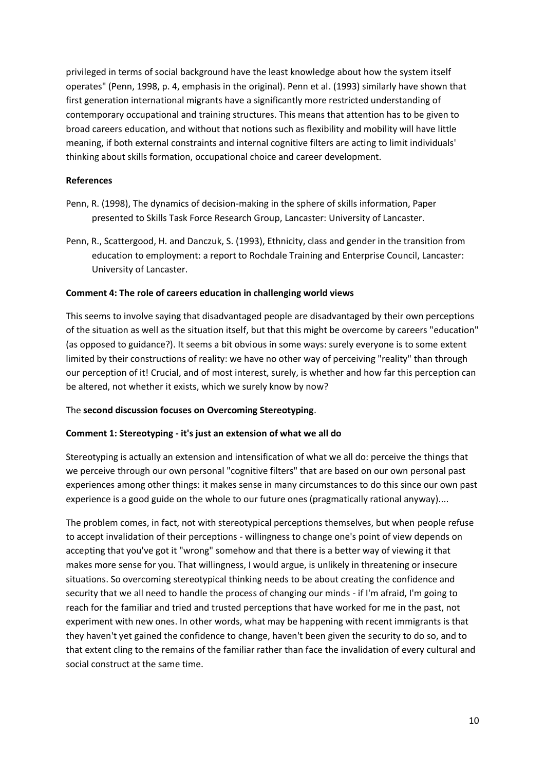privileged in terms of social background have the least knowledge about how the system itself operates" (Penn, 1998, p. 4, emphasis in the original). Penn et al. (1993) similarly have shown that first generation international migrants have a significantly more restricted understanding of contemporary occupational and training structures. This means that attention has to be given to broad careers education, and without that notions such as flexibility and mobility will have little meaning, if both external constraints and internal cognitive filters are acting to limit individuals' thinking about skills formation, occupational choice and career development.

#### **References**

- Penn, R. (1998), The dynamics of decision-making in the sphere of skills information, Paper presented to Skills Task Force Research Group, Lancaster: University of Lancaster.
- Penn, R., Scattergood, H. and Danczuk, S. (1993), Ethnicity, class and gender in the transition from education to employment: a report to Rochdale Training and Enterprise Council, Lancaster: University of Lancaster.

### **Comment 4: The role of careers education in challenging world views**

This seems to involve saying that disadvantaged people are disadvantaged by their own perceptions of the situation as well as the situation itself, but that this might be overcome by careers "education" (as opposed to guidance?). It seems a bit obvious in some ways: surely everyone is to some extent limited by their constructions of reality: we have no other way of perceiving "reality" than through our perception of it! Crucial, and of most interest, surely, is whether and how far this perception can be altered, not whether it exists, which we surely know by now?

#### The **second discussion focuses on Overcoming Stereotyping**.

#### **Comment 1: Stereotyping - it's just an extension of what we all do**

Stereotyping is actually an extension and intensification of what we all do: perceive the things that we perceive through our own personal "cognitive filters" that are based on our own personal past experiences among other things: it makes sense in many circumstances to do this since our own past experience is a good guide on the whole to our future ones (pragmatically rational anyway)....

The problem comes, in fact, not with stereotypical perceptions themselves, but when people refuse to accept invalidation of their perceptions - willingness to change one's point of view depends on accepting that you've got it "wrong" somehow and that there is a better way of viewing it that makes more sense for you. That willingness, I would argue, is unlikely in threatening or insecure situations. So overcoming stereotypical thinking needs to be about creating the confidence and security that we all need to handle the process of changing our minds - if I'm afraid, I'm going to reach for the familiar and tried and trusted perceptions that have worked for me in the past, not experiment with new ones. In other words, what may be happening with recent immigrants is that they haven't yet gained the confidence to change, haven't been given the security to do so, and to that extent cling to the remains of the familiar rather than face the invalidation of every cultural and social construct at the same time.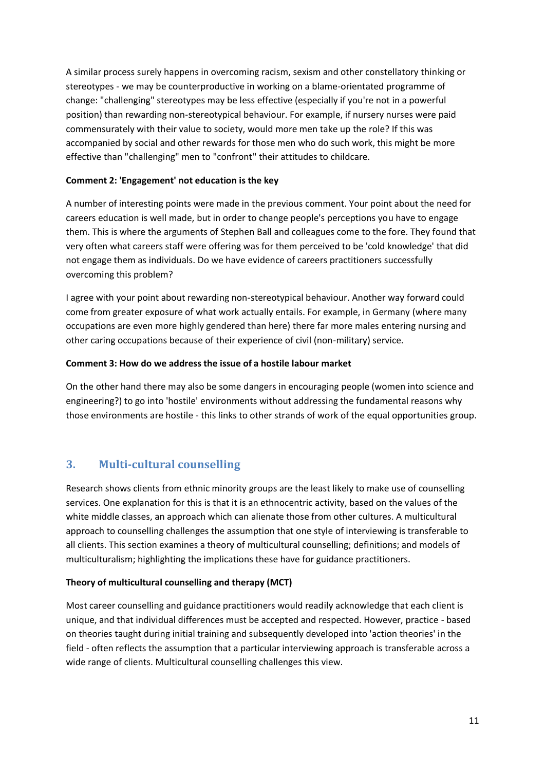A similar process surely happens in overcoming racism, sexism and other constellatory thinking or stereotypes - we may be counterproductive in working on a blame-orientated programme of change: "challenging" stereotypes may be less effective (especially if you're not in a powerful position) than rewarding non-stereotypical behaviour. For example, if nursery nurses were paid commensurately with their value to society, would more men take up the role? If this was accompanied by social and other rewards for those men who do such work, this might be more effective than "challenging" men to "confront" their attitudes to childcare.

# **Comment 2: 'Engagement' not education is the key**

A number of interesting points were made in the previous comment. Your point about the need for careers education is well made, but in order to change people's perceptions you have to engage them. This is where the arguments of Stephen Ball and colleagues come to the fore. They found that very often what careers staff were offering was for them perceived to be 'cold knowledge' that did not engage them as individuals. Do we have evidence of careers practitioners successfully overcoming this problem?

I agree with your point about rewarding non-stereotypical behaviour. Another way forward could come from greater exposure of what work actually entails. For example, in Germany (where many occupations are even more highly gendered than here) there far more males entering nursing and other caring occupations because of their experience of civil (non-military) service.

# **Comment 3: How do we address the issue of a hostile labour market**

On the other hand there may also be some dangers in encouraging people (women into science and engineering?) to go into 'hostile' environments without addressing the fundamental reasons why those environments are hostile - this links to other strands of work of the equal opportunities group.

# <span id="page-10-0"></span>**3. Multi-cultural counselling**

Research shows clients from ethnic minority groups are the least likely to make use of counselling services. One explanation for this is that it is an ethnocentric activity, based on the values of the white middle classes, an approach which can alienate those from other cultures. A multicultural approach to counselling challenges the assumption that one style of interviewing is transferable to all clients. This section examines a theory of multicultural counselling; definitions; and models of multiculturalism; highlighting the implications these have for guidance practitioners.

# **Theory of multicultural counselling and therapy (MCT)**

Most career counselling and guidance practitioners would readily acknowledge that each client is unique, and that individual differences must be accepted and respected. However, practice - based on theories taught during initial training and subsequently developed into 'action theories' in the field - often reflects the assumption that a particular interviewing approach is transferable across a wide range of clients. Multicultural counselling challenges this view.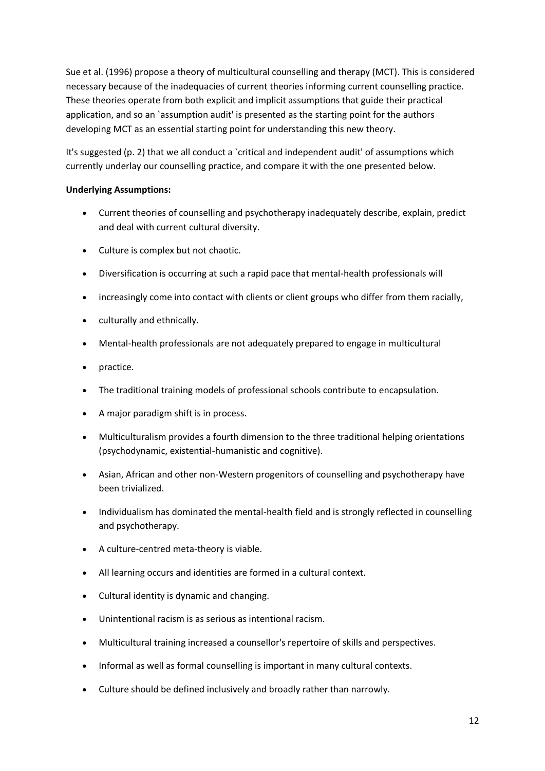Sue et al. (1996) propose a theory of multicultural counselling and therapy (MCT). This is considered necessary because of the inadequacies of current theories informing current counselling practice. These theories operate from both explicit and implicit assumptions that guide their practical application, and so an `assumption audit' is presented as the starting point for the authors developing MCT as an essential starting point for understanding this new theory.

It's suggested (p. 2) that we all conduct a `critical and independent audit' of assumptions which currently underlay our counselling practice, and compare it with the one presented below.

# **Underlying Assumptions:**

- Current theories of counselling and psychotherapy inadequately describe, explain, predict and deal with current cultural diversity.
- Culture is complex but not chaotic.
- Diversification is occurring at such a rapid pace that mental-health professionals will
- increasingly come into contact with clients or client groups who differ from them racially,
- culturally and ethnically.
- Mental-health professionals are not adequately prepared to engage in multicultural
- practice.
- The traditional training models of professional schools contribute to encapsulation.
- A major paradigm shift is in process.
- Multiculturalism provides a fourth dimension to the three traditional helping orientations (psychodynamic, existential-humanistic and cognitive).
- Asian, African and other non-Western progenitors of counselling and psychotherapy have been trivialized.
- Individualism has dominated the mental-health field and is strongly reflected in counselling and psychotherapy.
- A culture-centred meta-theory is viable.
- All learning occurs and identities are formed in a cultural context.
- Cultural identity is dynamic and changing.
- Unintentional racism is as serious as intentional racism.
- Multicultural training increased a counsellor's repertoire of skills and perspectives.
- Informal as well as formal counselling is important in many cultural contexts.
- Culture should be defined inclusively and broadly rather than narrowly.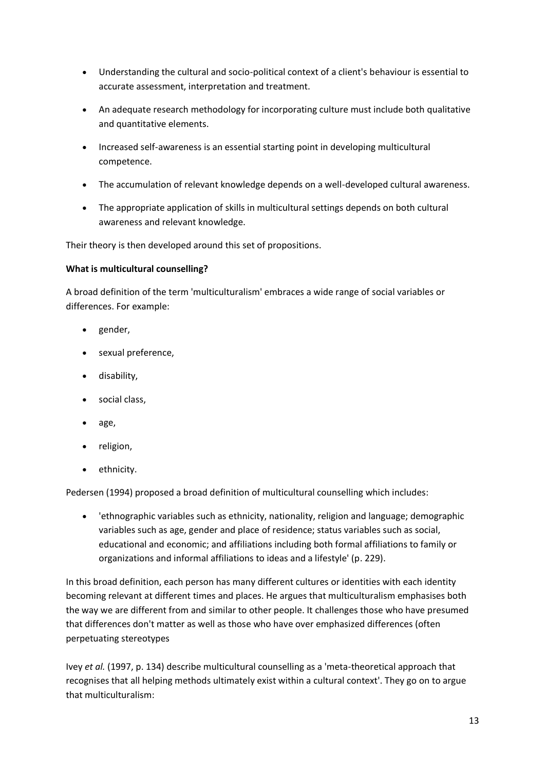- Understanding the cultural and socio-political context of a client's behaviour is essential to accurate assessment, interpretation and treatment.
- An adequate research methodology for incorporating culture must include both qualitative and quantitative elements.
- Increased self-awareness is an essential starting point in developing multicultural competence.
- The accumulation of relevant knowledge depends on a well-developed cultural awareness.
- The appropriate application of skills in multicultural settings depends on both cultural awareness and relevant knowledge.

Their theory is then developed around this set of propositions.

# **What is multicultural counselling?**

A broad definition of the term 'multiculturalism' embraces a wide range of social variables or differences. For example:

- gender,
- sexual preference,
- disability,
- social class,
- age,
- religion,
- ethnicity.

Pedersen (1994) proposed a broad definition of multicultural counselling which includes:

 'ethnographic variables such as ethnicity, nationality, religion and language; demographic variables such as age, gender and place of residence; status variables such as social, educational and economic; and affiliations including both formal affiliations to family or organizations and informal affiliations to ideas and a lifestyle' (p. 229).

In this broad definition, each person has many different cultures or identities with each identity becoming relevant at different times and places. He argues that multiculturalism emphasises both the way we are different from and similar to other people. It challenges those who have presumed that differences don't matter as well as those who have over emphasized differences (often perpetuating stereotypes

Ivey *et al.* (1997, p. 134) describe multicultural counselling as a 'meta-theoretical approach that recognises that all helping methods ultimately exist within a cultural context'. They go on to argue that multiculturalism: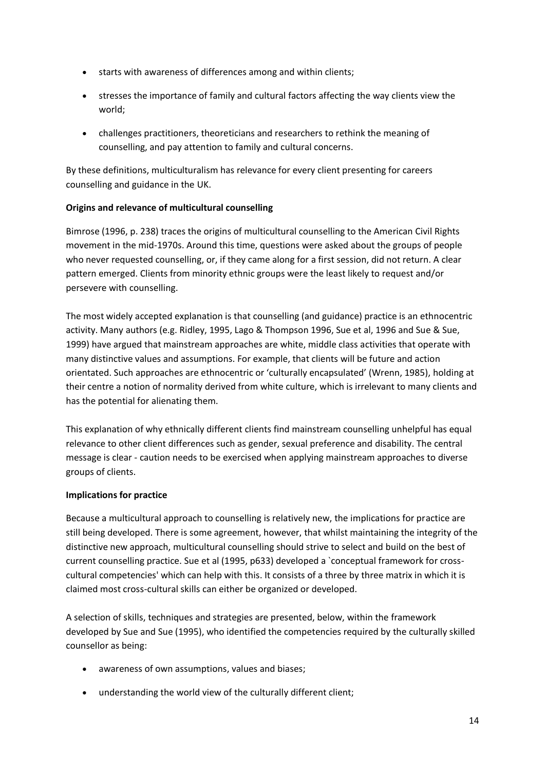- starts with awareness of differences among and within clients;
- stresses the importance of family and cultural factors affecting the way clients view the world;
- challenges practitioners, theoreticians and researchers to rethink the meaning of counselling, and pay attention to family and cultural concerns.

By these definitions, multiculturalism has relevance for every client presenting for careers counselling and guidance in the UK.

# **Origins and relevance of multicultural counselling**

Bimrose (1996, p. 238) traces the origins of multicultural counselling to the American Civil Rights movement in the mid-1970s. Around this time, questions were asked about the groups of people who never requested counselling, or, if they came along for a first session, did not return. A clear pattern emerged. Clients from minority ethnic groups were the least likely to request and/or persevere with counselling.

The most widely accepted explanation is that counselling (and guidance) practice is an ethnocentric activity. Many authors (e.g. Ridley, 1995, Lago & Thompson 1996, Sue et al, 1996 and Sue & Sue, 1999) have argued that mainstream approaches are white, middle class activities that operate with many distinctive values and assumptions. For example, that clients will be future and action orientated. Such approaches are ethnocentric or 'culturally encapsulated' (Wrenn, 1985), holding at their centre a notion of normality derived from white culture, which is irrelevant to many clients and has the potential for alienating them.

This explanation of why ethnically different clients find mainstream counselling unhelpful has equal relevance to other client differences such as gender, sexual preference and disability. The central message is clear - caution needs to be exercised when applying mainstream approaches to diverse groups of clients.

# **Implications for practice**

Because a multicultural approach to counselling is relatively new, the implications for practice are still being developed. There is some agreement, however, that whilst maintaining the integrity of the distinctive new approach, multicultural counselling should strive to select and build on the best of current counselling practice. Sue et al (1995, p633) developed a `conceptual framework for crosscultural competencies' which can help with this. It consists of a three by three matrix in which it is claimed most cross-cultural skills can either be organized or developed.

A selection of skills, techniques and strategies are presented, below, within the framework developed by Sue and Sue (1995), who identified the competencies required by the culturally skilled counsellor as being:

- awareness of own assumptions, values and biases;
- understanding the world view of the culturally different client;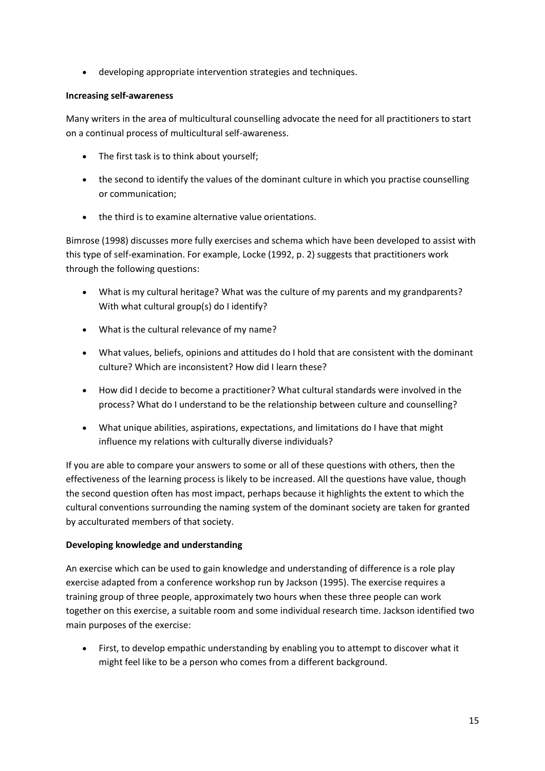developing appropriate intervention strategies and techniques.

### **Increasing self-awareness**

Many writers in the area of multicultural counselling advocate the need for all practitioners to start on a continual process of multicultural self-awareness.

- The first task is to think about yourself:
- the second to identify the values of the dominant culture in which you practise counselling or communication;
- the third is to examine alternative value orientations.

Bimrose (1998) discusses more fully exercises and schema which have been developed to assist with this type of self-examination. For example, Locke (1992, p. 2) suggests that practitioners work through the following questions:

- What is my cultural heritage? What was the culture of my parents and my grandparents? With what cultural group(s) do I identify?
- What is the cultural relevance of my name?
- What values, beliefs, opinions and attitudes do I hold that are consistent with the dominant culture? Which are inconsistent? How did I learn these?
- How did I decide to become a practitioner? What cultural standards were involved in the process? What do I understand to be the relationship between culture and counselling?
- What unique abilities, aspirations, expectations, and limitations do I have that might influence my relations with culturally diverse individuals?

If you are able to compare your answers to some or all of these questions with others, then the effectiveness of the learning process is likely to be increased. All the questions have value, though the second question often has most impact, perhaps because it highlights the extent to which the cultural conventions surrounding the naming system of the dominant society are taken for granted by acculturated members of that society.

# **Developing knowledge and understanding**

An exercise which can be used to gain knowledge and understanding of difference is a role play exercise adapted from a conference workshop run by Jackson (1995). The exercise requires a training group of three people, approximately two hours when these three people can work together on this exercise, a suitable room and some individual research time. Jackson identified two main purposes of the exercise:

 First, to develop empathic understanding by enabling you to attempt to discover what it might feel like to be a person who comes from a different background.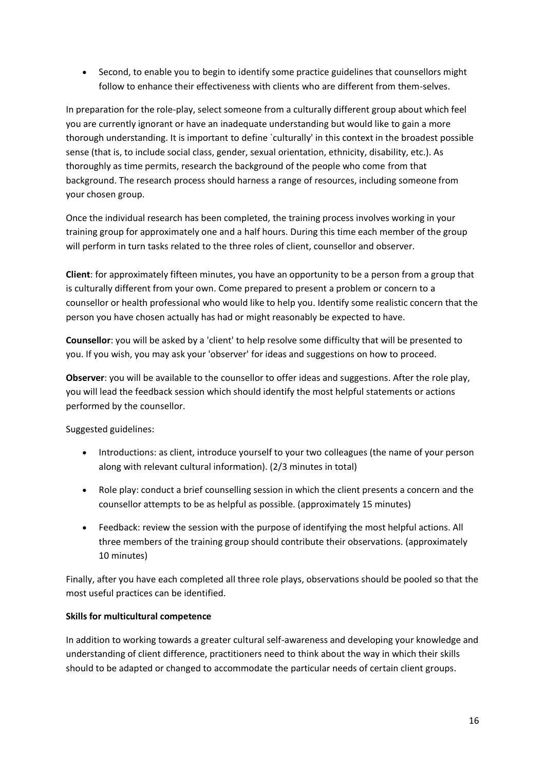Second, to enable you to begin to identify some practice guidelines that counsellors might follow to enhance their effectiveness with clients who are different from them-selves.

In preparation for the role-play, select someone from a culturally different group about which feel you are currently ignorant or have an inadequate understanding but would like to gain a more thorough understanding. It is important to define `culturally' in this context in the broadest possible sense (that is, to include social class, gender, sexual orientation, ethnicity, disability, etc.). As thoroughly as time permits, research the background of the people who come from that background. The research process should harness a range of resources, including someone from your chosen group.

Once the individual research has been completed, the training process involves working in your training group for approximately one and a half hours. During this time each member of the group will perform in turn tasks related to the three roles of client, counsellor and observer.

**Client**: for approximately fifteen minutes, you have an opportunity to be a person from a group that is culturally different from your own. Come prepared to present a problem or concern to a counsellor or health professional who would like to help you. Identify some realistic concern that the person you have chosen actually has had or might reasonably be expected to have.

**Counsellor**: you will be asked by a 'client' to help resolve some difficulty that will be presented to you. If you wish, you may ask your 'observer' for ideas and suggestions on how to proceed.

**Observer**: you will be available to the counsellor to offer ideas and suggestions. After the role play, you will lead the feedback session which should identify the most helpful statements or actions performed by the counsellor.

Suggested guidelines:

- Introductions: as client, introduce yourself to your two colleagues (the name of your person along with relevant cultural information). (2/3 minutes in total)
- Role play: conduct a brief counselling session in which the client presents a concern and the counsellor attempts to be as helpful as possible. (approximately 15 minutes)
- Feedback: review the session with the purpose of identifying the most helpful actions. All three members of the training group should contribute their observations. (approximately 10 minutes)

Finally, after you have each completed all three role plays, observations should be pooled so that the most useful practices can be identified.

# **Skills for multicultural competence**

In addition to working towards a greater cultural self-awareness and developing your knowledge and understanding of client difference, practitioners need to think about the way in which their skills should to be adapted or changed to accommodate the particular needs of certain client groups.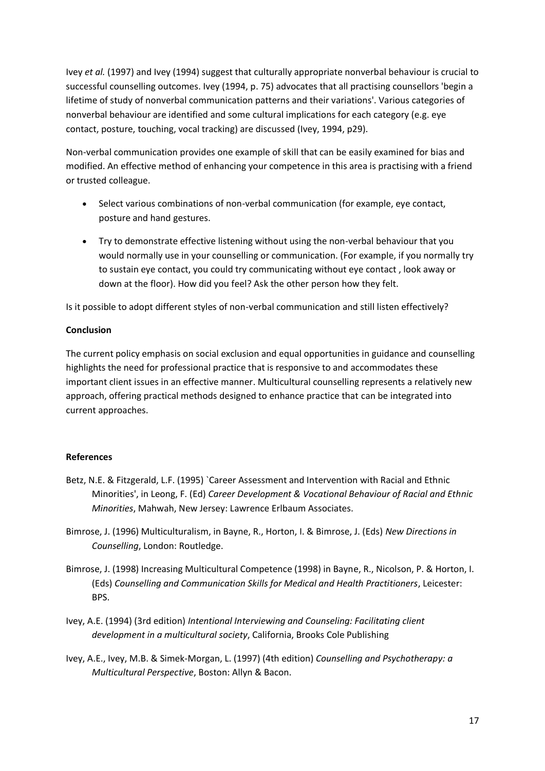Ivey *et al.* (1997) and Ivey (1994) suggest that culturally appropriate nonverbal behaviour is crucial to successful counselling outcomes. Ivey (1994, p. 75) advocates that all practising counsellors 'begin a lifetime of study of nonverbal communication patterns and their variations'. Various categories of nonverbal behaviour are identified and some cultural implications for each category (e.g. eye contact, posture, touching, vocal tracking) are discussed (Ivey, 1994, p29).

Non-verbal communication provides one example of skill that can be easily examined for bias and modified. An effective method of enhancing your competence in this area is practising with a friend or trusted colleague.

- Select various combinations of non-verbal communication (for example, eye contact, posture and hand gestures.
- Try to demonstrate effective listening without using the non-verbal behaviour that you would normally use in your counselling or communication. (For example, if you normally try to sustain eye contact, you could try communicating without eye contact , look away or down at the floor). How did you feel? Ask the other person how they felt.

Is it possible to adopt different styles of non-verbal communication and still listen effectively?

### **Conclusion**

The current policy emphasis on social exclusion and equal opportunities in guidance and counselling highlights the need for professional practice that is responsive to and accommodates these important client issues in an effective manner. Multicultural counselling represents a relatively new approach, offering practical methods designed to enhance practice that can be integrated into current approaches.

# **References**

- Betz, N.E. & Fitzgerald, L.F. (1995) `Career Assessment and Intervention with Racial and Ethnic Minorities', in Leong, F. (Ed) *Career Development & Vocational Behaviour of Racial and Ethnic Minorities*, Mahwah, New Jersey: Lawrence Erlbaum Associates.
- Bimrose, J. (1996) Multiculturalism, in Bayne, R., Horton, I. & Bimrose, J. (Eds) *New Directions in Counselling*, London: Routledge.
- Bimrose, J. (1998) Increasing Multicultural Competence (1998) in Bayne, R., Nicolson, P. & Horton, I. (Eds) *Counselling and Communication Skills for Medical and Health Practitioners*, Leicester: BPS.
- Ivey, A.E. (1994) (3rd edition) *Intentional Interviewing and Counseling: Facilitating client development in a multicultural society*, California, Brooks Cole Publishing
- Ivey, A.E., Ivey, M.B. & Simek-Morgan, L. (1997) (4th edition) *Counselling and Psychotherapy: a Multicultural Perspective*, Boston: Allyn & Bacon.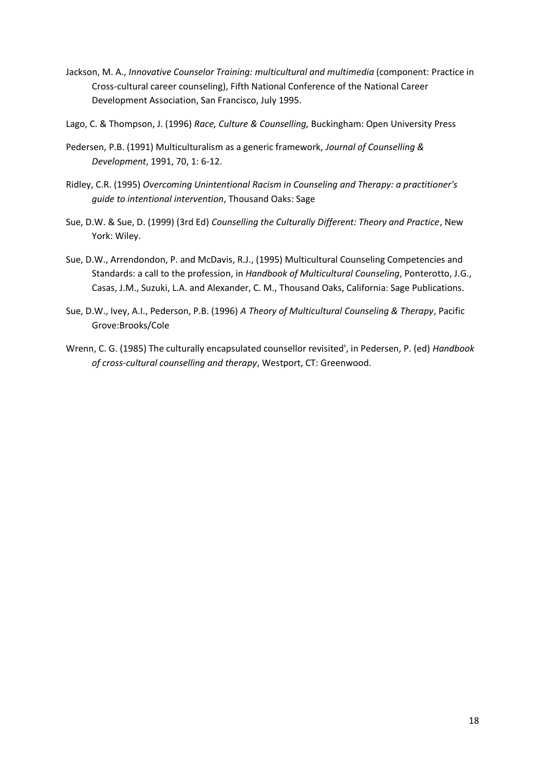- Jackson, M. A., *Innovative Counselor Training: multicultural and multimedia* (component: Practice in Cross-cultural career counseling), Fifth National Conference of the National Career Development Association, San Francisco, July 1995.
- Lago, C. & Thompson, J. (1996) *Race, Culture & Counselling,* Buckingham: Open University Press
- Pedersen, P.B. (1991) Multiculturalism as a generic framework, *Journal of Counselling & Development*, 1991, 70, 1: 6-12.
- Ridley, C.R. (1995) *Overcoming Unintentional Racism in Counseling and Therapy: a practitioner's guide to intentional intervention*, Thousand Oaks: Sage
- Sue, D.W. & Sue, D. (1999) (3rd Ed) *Counselling the Culturally Different: Theory and Practice*, New York: Wiley.
- Sue, D.W., Arrendondon, P. and McDavis, R.J., (1995) Multicultural Counseling Competencies and Standards: a call to the profession, in *Handbook of Multicultural Counseling*, Ponterotto, J.G., Casas, J.M., Suzuki, L.A. and Alexander, C. M., Thousand Oaks, California: Sage Publications.
- Sue, D.W., Ivey, A.I., Pederson, P.B. (1996) *A Theory of Multicultural Counseling & Therapy*, Pacific Grove:Brooks/Cole
- Wrenn, C. G. (1985) The culturally encapsulated counsellor revisited', in Pedersen, P. (ed) *Handbook of cross-cultural counselling and therapy*, Westport, CT: Greenwood.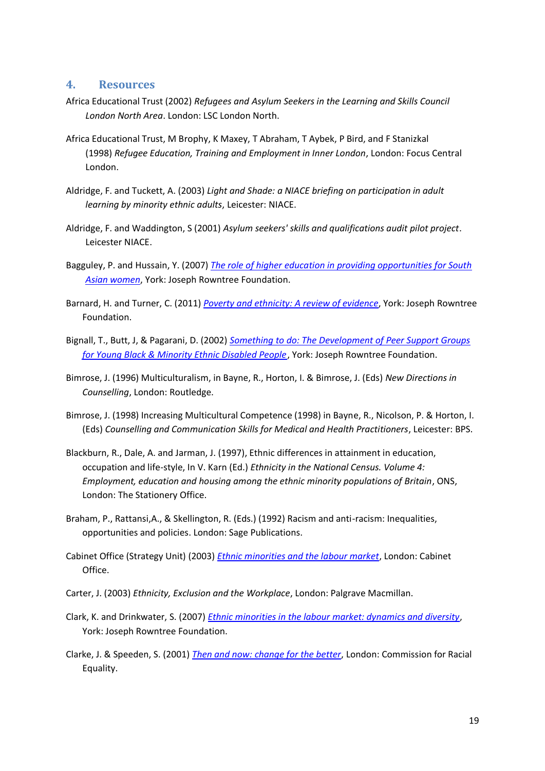### **4. Resources**

- Africa Educational Trust (2002) *Refugees and Asylum Seekers in the Learning and Skills Council London North Area*. London: LSC London North.
- Africa Educational Trust, M Brophy, K Maxey, T Abraham, T Aybek, P Bird, and F Stanizkal (1998) *Refugee Education, Training and Employment in Inner London*, London: Focus Central London.
- Aldridge, F. and Tuckett, A. (2003) *Light and Shade: a NIACE briefing on participation in adult learning by minority ethnic adults*, Leicester: NIACE.
- Aldridge, F. and Waddington, S (2001) *Asylum seekers' skills and qualifications audit pilot project*. Leicester NIACE.
- Bagguley, P. and Hussain, Y. (2007) *The [role of higher education in providing opportunities for South](http://www.jrf.org.uk/publications/role-higher-education-providing-opportunities-south-asian-women)  [Asian women](http://www.jrf.org.uk/publications/role-higher-education-providing-opportunities-south-asian-women)*, York: Joseph Rowntree Foundation.
- Barnard, H. and Turner, C. (2011) *[Poverty and ethnicity: A review of evidence](http://www.jrf.org.uk/publications/poverty-and-ethnicity-review-evidence)*, York: Joseph Rowntree Foundation.
- Bignall, T., Butt, J, & Pagarani, D. (2002) *Something to [do: The Development of Peer Support Groups](http://www.jrf.org.uk/publications/peer-support-groups-and-young-black-and-minority-ethnic-disabled-and-deaf-people)  [for Young Black & Minority Ethnic Disabled People](http://www.jrf.org.uk/publications/peer-support-groups-and-young-black-and-minority-ethnic-disabled-and-deaf-people)*[,](http://www.jrf.org.uk/publications/peer-support-groups-and-young-black-and-minority-ethnic-disabled-and-deaf-people) York: Joseph Rowntree Foundation.
- Bimrose, J. (1996) Multiculturalism, in Bayne, R., Horton, I. & Bimrose, J. (Eds) *New Directions in Counselling*, London: Routledge.
- Bimrose, J. (1998) Increasing Multicultural Competence (1998) in Bayne, R., Nicolson, P. & Horton, I. (Eds) *Counselling and Communication Skills for Medical and Health Practitioners*, Leicester: BPS.
- Blackburn, R., Dale, A. and Jarman, J. (1997), Ethnic differences in attainment in education, occupation and life-style, In V. Karn (Ed.) *Ethnicity in the National Census. Volume 4: Employment, education and housing among the ethnic minority populations of Britain*, ONS, London: The Stationery Office.
- Braham, P., Rattansi,A., & Skellington, R. (Eds.) (1992) Racism and anti-racism: Inequalities, opportunities and policies. London: Sage Publications.
- Cabinet Office (Strategy Unit) (2003) *[Ethnic minorities and the labour market](http://www.equalbutdifferent.org.uk/pdfs/ethnic%20minorities%20&%20the%20labour%20market.pdf)*, London: Cabinet Office.
- Carter, J. (2003) *Ethnicity, Exclusion and the Workplace*, London: Palgrave Macmillan.
- Clark, K. and Drinkwater, S. (2007) *[Ethnic minorities in the labour market: dynamics and diversity](http://www.jrf.org.uk/publications/ethnic-minorities-labour-market-dynamics-and-diversity)*, York: Joseph Rowntree Foundation.
- Clarke, J. & Speeden, S. (2001) *[Then and now: change for the better](http://www.eric.ed.gov/PDFS/ED456208.pdf)*, London: Commission for Racial Equality.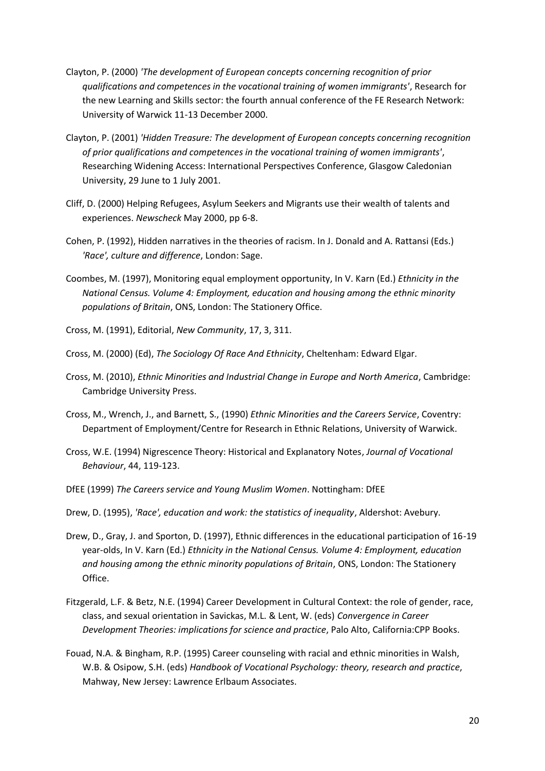- Clayton, P. (2000) *'The development of European concepts concerning recognition of prior qualifications and competences in the vocational training of women immigrants'*, Research for the new Learning and Skills sector: the fourth annual conference of the FE Research Network: University of Warwick 11-13 December 2000.
- Clayton, P. (2001) *'Hidden Treasure: The development of European concepts concerning recognition of prior qualifications and competences in the vocational training of women immigrants'*, Researching Widening Access: International Perspectives Conference, Glasgow Caledonian University, 29 June to 1 July 2001.
- Cliff, D. (2000) Helping Refugees, Asylum Seekers and Migrants use their wealth of talents and experiences. *Newscheck* May 2000, pp 6-8.
- Cohen, P. (1992), Hidden narratives in the theories of racism. In J. Donald and A. Rattansi (Eds.) *'Race', culture and difference*, London: Sage.
- Coombes, M. (1997), Monitoring equal employment opportunity, In V. Karn (Ed.) *Ethnicity in the National Census. Volume 4: Employment, education and housing among the ethnic minority populations of Britain*, ONS, London: The Stationery Office.
- Cross, M. (1991), Editorial, *New Community*, 17, 3, 311.
- Cross, M. (2000) (Ed), *The Sociology Of Race And Ethnicity*, Cheltenham: Edward Elgar.
- Cross, M. (2010), *Ethnic Minorities and Industrial Change in Europe and North America*, Cambridge: Cambridge University Press.
- Cross, M., Wrench, J., and Barnett, S., (1990) *Ethnic Minorities and the Careers Service*, Coventry: Department of Employment/Centre for Research in Ethnic Relations, University of Warwick.
- Cross, W.E. (1994) Nigrescence Theory: Historical and Explanatory Notes, *Journal of Vocational Behaviour*, 44, 119-123.
- DfEE (1999) *The Careers service and Young Muslim Women*. Nottingham: DfEE
- Drew, D. (1995), *'Race', education and work: the statistics of inequality*, Aldershot: Avebury.
- Drew, D., Gray, J. and Sporton, D. (1997), Ethnic differences in the educational participation of 16-19 year-olds, In V. Karn (Ed.) *Ethnicity in the National Census. Volume 4: Employment, education and housing among the ethnic minority populations of Britain*, ONS, London: The Stationery Office.
- Fitzgerald, L.F. & Betz, N.E. (1994) Career Development in Cultural Context: the role of gender, race, class, and sexual orientation in Savickas, M.L. & Lent, W. (eds) *Convergence in Career Development Theories: implications for science and practice*, Palo Alto, California:CPP Books.
- Fouad, N.A. & Bingham, R.P. (1995) Career counseling with racial and ethnic minorities in Walsh, W.B. & Osipow, S.H. (eds) *Handbook of Vocational Psychology: theory, research and practice*, Mahway, New Jersey: Lawrence Erlbaum Associates.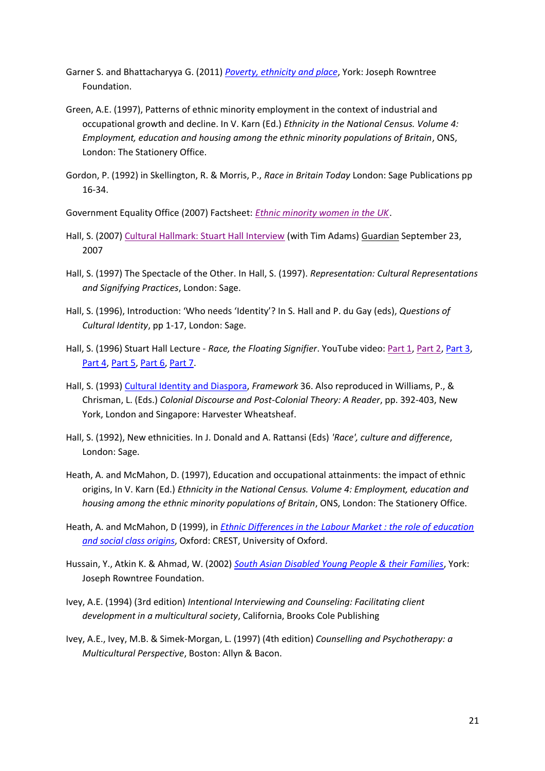- Garner S. and Bhattacharyya G. (2011) *[Poverty, ethnicity and place](http://www.jrf.org.uk/publications/poverty-ethnicity-and-place)*, York: Joseph Rowntree Foundation.
- Green, A.E. (1997), Patterns of ethnic minority employment in the context of industrial and occupational growth and decline. In V. Karn (Ed.) *Ethnicity in the National Census. Volume 4: Employment, education and housing among the ethnic minority populations of Britain*, ONS, London: The Stationery Office.
- Gordon, P. (1992) in Skellington, R. & Morris, P., *Race in Britain Today* London: Sage Publications pp 16-34.

Government Equality Office (2007) Factsheet: *[Ethnic minority women in the UK](http://sta.geo.useconnect.co.uk/pdf/EthnicMinorityWomen.pdf)*[.](http://sta.geo.useconnect.co.uk/pdf/EthnicMinorityWomen.pdf)

- Hall, S. (2007) [Cultural Hallmark: Stuart Hall Interview](http://books.guardian.co.uk/reviews/politicsphilosophyandsociety/0,,2175203,00.html) (with Tim Adams) Guardian September 23, 2007
- Hall, S. (1997) The Spectacle of the Other. In Hall, S. (1997). *Representation: Cultural Representations and Signifying Practices*, London: Sage.
- Hall, S. (1996), Introduction: 'Who needs 'Identity'? In S. Hall and P. du Gay (eds), *Questions of Cultural Identity*, pp 1-17, London: Sage.
- Hall, S. (1996) Stuart Hall Lecture *Race, the Floating Signifier*. YouTube video: [Part 1,](http://www.youtube.com/watch?v=bRk9MZvOd2c&feature=related) [Part 2,](http://www.youtube.com/watch?v=8ON26J5b1PA&feature=related) [Part 3,](http://www.youtube.com/watch?v=O-VyReHOVSc&feature=related) [Part 4,](http://www.youtube.com/watch?v=lXQ-W7Up0p8&feature=related) [Part 5,](http://www.youtube.com/watch?v=OVjmbDbnJKo) [Part 6,](http://www.youtube.com/watch?v=GeD6awgSHGU) [Part 7.](http://www.youtube.com/watch?v=vRRQ2KSBeyA)
- Hall, S. (1993) [Cultural Identity and Diaspora,](http://www.lwbooks.co.uk/ReadingRoom/public/IdentityDiaspora.pdf) *Framework* 36. Also reproduced in Williams, P., & Chrisman, L. (Eds.) *Colonial Discourse and Post-Colonial Theory: A Reader*, pp. 392-403, New York, London and Singapore: Harvester Wheatsheaf.
- Hall, S. (1992), New ethnicities. In J. Donald and A. Rattansi (Eds) *'Race', culture and difference*, London: Sage.
- Heath, A. and McMahon, D. (1997), Education and occupational attainments: the impact of ethnic origins, In V. Karn (Ed.) *Ethnicity in the National Census. Volume 4: Employment, education and housing among the ethnic minority populations of Britain*, ONS, London: The Stationery Office.
- Heath, A. and McMahon, D (1999), in *[Ethnic Differences in the Labour Market : the role of education](http://www.crest.ox.ac.uk/papers/p69.pdf)  [and social class origins](http://www.crest.ox.ac.uk/papers/p69.pdf)*, Oxford: CREST, University of Oxford.
- Hussain, Y., Atkin K. & Ahmad, W. (2002) *[South Asian Disabled Young People & their Families](http://www.jrf.org.uk/sites/files/jrf/jr112-south-asian-disabled.pdf)*, York: Joseph Rowntree Foundation.
- Ivey, A.E. (1994) (3rd edition) *Intentional Interviewing and Counseling: Facilitating client development in a multicultural society*, California, Brooks Cole Publishing
- Ivey, A.E., Ivey, M.B. & Simek-Morgan, L. (1997) (4th edition) *Counselling and Psychotherapy: a Multicultural Perspective*, Boston: Allyn & Bacon.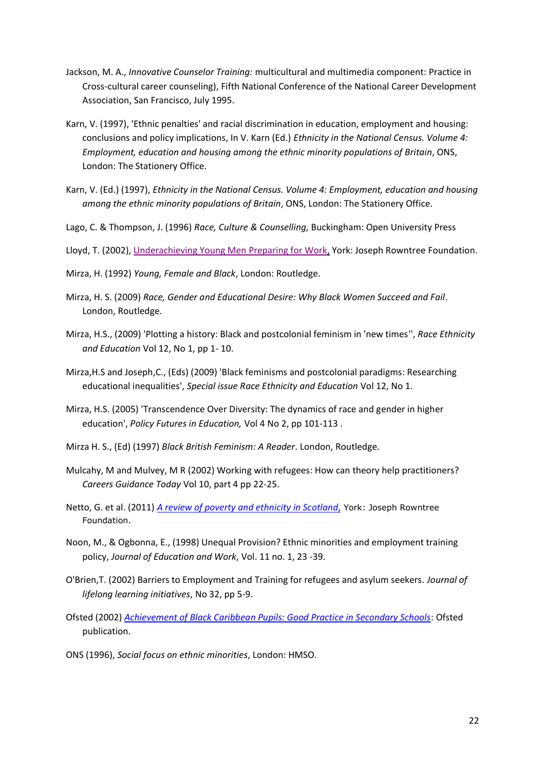- Jackson, M. A., *Innovative Counselor Training:* multicultural and multimedia component: Practice in Cross-cultural career counseling), Fifth National Conference of the National Career Development Association, San Francisco, July 1995.
- Karn, V. (1997), 'Ethnic penalties' and racial discrimination in education, employment and housing: conclusions and policy implications, In V. Karn (Ed.) *Ethnicity in the National Census. Volume 4: Employment, education and housing among the ethnic minority populations of Britain*, ONS, London: The Stationery Office.
- Karn, V. (Ed.) (1997), *Ethnicity in the National Census. Volume 4: Employment, education and housing among the ethnic minority populations of Britain*, ONS, London: The Stationery Office.
- Lago, C. & Thompson, J. (1996) *Race, Culture & Counselling,* Buckingham: Open University Press

Lloyd, T. (2002), [Underachieving Young Men Preparing for Work,](http://www.jrf.org.uk/bookshop/eBooks/1842630903.pdf) York: Joseph Rowntree Foundation.

- Mirza, H. (1992) *Young, Female and Black*, London: Routledge.
- Mirza, H. S. (2009) *Race, Gender and Educational Desire: Why Black Women Succeed and Fail*. London, Routledge.
- Mirza, H.S., (2009) 'Plotting a history: Black and postcolonial feminism in 'new times'', *Race Ethnicity and Education* Vol 12, No 1, pp 1- 10.
- Mirza,H.S and Joseph,C., (Eds) (2009) 'Black feminisms and postcolonial paradigms: Researching educational inequalities', *Special issue Race Ethnicity and Education* Vol 12, No 1.
- Mirza, H.S. (2005) 'Transcendence Over Diversity: The dynamics of race and gender in higher education', *Policy Futures in Education,* Vol 4 No 2, pp 101-113 .
- Mirza H. S., (Ed) (1997) *Black British Feminism: A Reader*. London, Routledge.
- Mulcahy, M and Mulvey, M R (2002) Working with refugees: How can theory help practitioners? *Careers Guidance Today* Vol 10, part 4 pp 22-25.
- Netto, G. et al. (2011) *[A review of poverty and ethnicity in Scotland](http://www.jrf.org.uk/sites/files/jrf/poverty-ethnicity-Scotland-summary.pdf)*, York: Joseph Rowntree Foundation.
- Noon, M., & Ogbonna, E., (1998) Unequal Provision? Ethnic minorities and employment training policy, *Journal of Education and Work*, Vol. 11 no. 1, 23 -39.
- O'Brien,T. (2002) Barriers to Employment and Training for refugees and asylum seekers. *Journal of lifelong learning initiatives*, No 32, pp 5-9.
- Ofsted (2002) *[Achievement of Black Caribbean Pupils: Good Practice in Secondary Schools](http://www.ofsted.gov.uk/resources/achievement-of-black-caribbean-pupils)*: Ofsted publication.
- ONS (1996), *Social focus on ethnic minorities*, London: HMSO.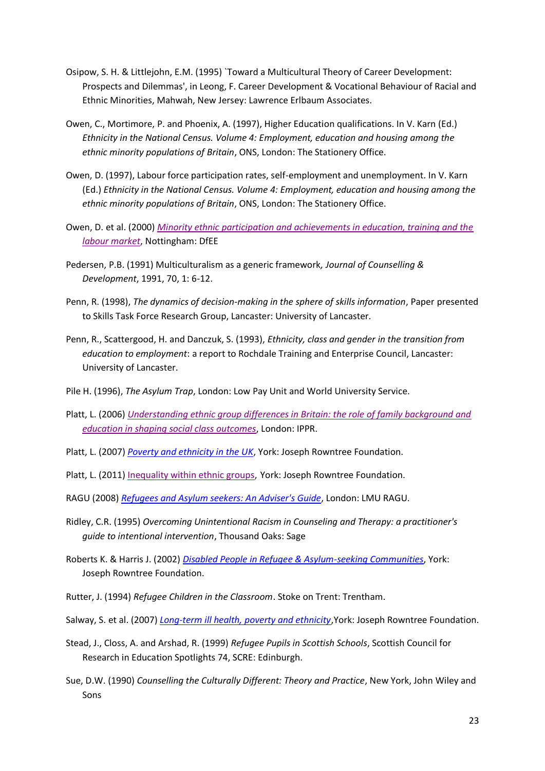- Osipow, S. H. & Littlejohn, E.M. (1995) `Toward a Multicultural Theory of Career Development: Prospects and Dilemmas', in Leong, F. Career Development & Vocational Behaviour of Racial and Ethnic Minorities, Mahwah, New Jersey: Lawrence Erlbaum Associates.
- Owen, C., Mortimore, P. and Phoenix, A. (1997), Higher Education qualifications. In V. Karn (Ed.) *Ethnicity in the National Census. Volume 4: Employment, education and housing among the ethnic minority populations of Britain*, ONS, London: The Stationery Office.
- Owen, D. (1997), Labour force participation rates, self-employment and unemployment. In V. Karn (Ed.) *Ethnicity in the National Census. Volume 4: Employment, education and housing among the ethnic minority populations of Britain*, ONS, London: The Stationery Office.
- Owen, D. et al. (2000) *[Minority ethnic participation and achievements in education, training and the](https://www.education.gov.uk/publications/eOrderingDownload/RR225.pdf)  [labour market](https://www.education.gov.uk/publications/eOrderingDownload/RR225.pdf)*, Nottingham: DfEE
- Pedersen, P.B. (1991) Multiculturalism as a generic framework*, Journal of Counselling & Development*, 1991, 70, 1: 6-12.
- Penn, R. (1998), *The dynamics of decision-making in the sphere of skills information*, Paper presented to Skills Task Force Research Group, Lancaster: University of Lancaster.
- Penn, R., Scattergood, H. and Danczuk, S. (1993), *Ethnicity, class and gender in the transition from education to employment*: a report to Rochdale Training and Enterprise Council, Lancaster: University of Lancaster.
- Pile H. (1996), *The Asylum Trap*, London: Low Pay Unit and World University Service.
- Platt, L. (2006) *[Understanding ethnic group differences in Britain: the role of family background and](http://www.ippr.org/ecomm/files/platt_paper.pdf)  [education in shaping social class outcomes](http://www.ippr.org/ecomm/files/platt_paper.pdf)*, London: IPPR.
- Platt, L. (2007) *[Poverty and ethnicity in the UK](http://www.jrf.org.uk/publications/poverty-and-ethnicity-uk)*, York: Joseph Rowntree Foundation.
- Platt, L. (2011) [Inequality within ethnic groups,](http://www.jrf.org.uk/publications/inequality-within-ethnic-groups) York: Joseph Rowntree Foundation.
- RAGU (2008) *[Refugees and Asylum seekers: An Adviser's Guide](http://www.londonmet.ac.uk/library/u58650_3.pdf)*, London: LMU RAGU.
- Ridley, C.R. (1995) *Overcoming Unintentional Racism in Counseling and Therapy: a practitioner's guide to intentional intervention*, Thousand Oaks: Sage
- Roberts K. & Harris J. (2002) *[Disabled People in Refugee & Asylum-seeking Communities](http://www.jrf.org.uk/sites/files/jrf/jr127-disabled-refugee-communities.pdf)*, York: Joseph Rowntree Foundation.
- Rutter, J. (1994) *Refugee Children in the Classroom*. Stoke on Trent: Trentham.
- Salway, S. et al. (2007) *[Long-term ill health, poverty and ethnicity](http://www.jrf.org.uk/publications/long-term-ill-health-poverty-and-ethnicity)*,York: Joseph Rowntree Foundation.
- Stead, J., Closs, A. and Arshad, R. (1999) *Refugee Pupils in Scottish Schools*, Scottish Council for Research in Education Spotlights 74, SCRE: Edinburgh.
- Sue, D.W. (1990) *Counselling the Culturally Different: Theory and Practice*, New York, John Wiley and Sons